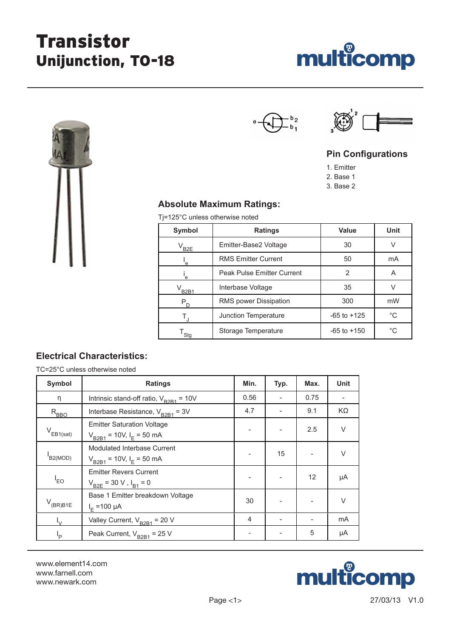# Transistor Unijunction, TO-18





# $\frac{b_2}{b_1}$



## **Pin Configurations**

1. Emitter

2. Base 1

3. Base 2

### **Absolute Maximum Ratings:**

Tj=125°C unless otherwise noted

| Symbol     | <b>Ratings</b>                    | <b>Value</b>    | <b>Unit</b> |  |
|------------|-----------------------------------|-----------------|-------------|--|
| $V_{B2E}$  | Emitter-Base2 Voltage             | 30              |             |  |
| e.         | <b>RMS Emitter Current</b>        | 50              | mA          |  |
| 'e         | <b>Peak Pulse Emitter Current</b> | 2               | Α           |  |
| $V_{B2B1}$ | Interbase Voltage                 | 35              |             |  |
| $P_D$      | RMS power Dissipation             | 300             | mW          |  |
| T,         | Junction Temperature              | $-65$ to $+125$ | $^{\circ}C$ |  |
| Stg        | Storage Temperature               | $-65$ to $+150$ | $^{\circ}C$ |  |

## **Electrical Characteristics:**

TC=25°C unless otherwise noted

| <b>Symbol</b>                  | <b>Ratings</b>                                                       | Min. | Typ. | Max. | <b>Unit</b> |
|--------------------------------|----------------------------------------------------------------------|------|------|------|-------------|
| η                              | Intrinsic stand-off ratio, $V_{B2B1} = 10V$                          | 0.56 |      | 0.75 |             |
| $R_{\underline{\mathsf{BBO}}}$ | Interbase Resistance, $V_{B2B1} = 3V$                                | 4.7  |      | 9.1  | KΩ          |
| $V_{EB1(sat)}$                 | <b>Emitter Saturation Voltage</b><br>$V_{B2B1}$ = 10V, $I_E$ = 50 mA |      |      | 2.5  | $\vee$      |
| B2(MOD)                        | Modulated Interbase Current<br>$V_{B2B1}$ = 10V, $I_E$ = 50 mA       |      | 15   |      | $\vee$      |
| $I_{EO}$                       | <b>Emitter Revers Current</b><br>$V_{B2E} = 30 V$ , $I_{B1} = 0$     |      |      | 12   | μA          |
| $V_{(BR)B1E}$                  | Base 1 Emitter breakdown Voltage<br>$I_{E} = 100 \mu A$              | 30   |      |      | $\vee$      |
|                                | Valley Current, $V_{B2B1}$ = 20 V                                    | 4    |      |      | mA          |
| l <sub>D</sub>                 | Peak Current, $V_{B2B1}$ = 25 V                                      |      |      | 5    | μA          |

www.element14.com www.farnell.com www.newark.com